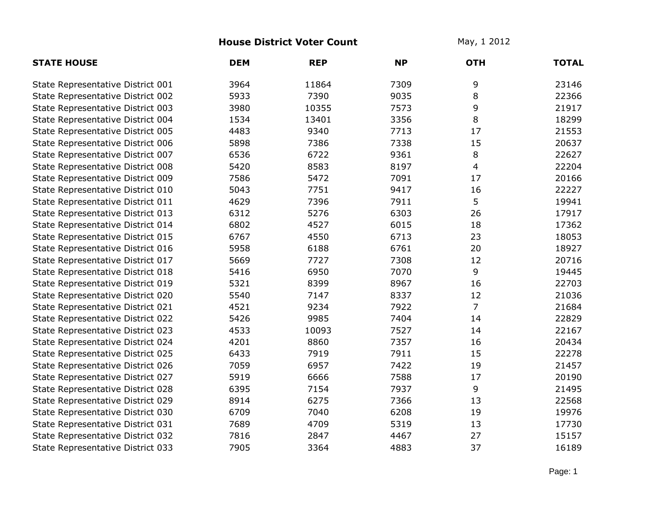## **House District Voter Count** May, 1 2012

| <b>STATE HOUSE</b>                | <b>DEM</b> | <b>REP</b> | <b>NP</b> | <b>OTH</b>     | <b>TOTAL</b> |
|-----------------------------------|------------|------------|-----------|----------------|--------------|
| State Representative District 001 | 3964       | 11864      | 7309      | 9              | 23146        |
| State Representative District 002 | 5933       | 7390       | 9035      | 8              | 22366        |
| State Representative District 003 | 3980       | 10355      | 7573      | 9              | 21917        |
| State Representative District 004 | 1534       | 13401      | 3356      | 8              | 18299        |
| State Representative District 005 | 4483       | 9340       | 7713      | 17             | 21553        |
| State Representative District 006 | 5898       | 7386       | 7338      | 15             | 20637        |
| State Representative District 007 | 6536       | 6722       | 9361      | 8              | 22627        |
| State Representative District 008 | 5420       | 8583       | 8197      | 4              | 22204        |
| State Representative District 009 | 7586       | 5472       | 7091      | 17             | 20166        |
| State Representative District 010 | 5043       | 7751       | 9417      | 16             | 22227        |
| State Representative District 011 | 4629       | 7396       | 7911      | 5              | 19941        |
| State Representative District 013 | 6312       | 5276       | 6303      | 26             | 17917        |
| State Representative District 014 | 6802       | 4527       | 6015      | 18             | 17362        |
| State Representative District 015 | 6767       | 4550       | 6713      | 23             | 18053        |
| State Representative District 016 | 5958       | 6188       | 6761      | 20             | 18927        |
| State Representative District 017 | 5669       | 7727       | 7308      | 12             | 20716        |
| State Representative District 018 | 5416       | 6950       | 7070      | 9              | 19445        |
| State Representative District 019 | 5321       | 8399       | 8967      | 16             | 22703        |
| State Representative District 020 | 5540       | 7147       | 8337      | 12             | 21036        |
| State Representative District 021 | 4521       | 9234       | 7922      | $\overline{7}$ | 21684        |
| State Representative District 022 | 5426       | 9985       | 7404      | 14             | 22829        |
| State Representative District 023 | 4533       | 10093      | 7527      | 14             | 22167        |
| State Representative District 024 | 4201       | 8860       | 7357      | 16             | 20434        |
| State Representative District 025 | 6433       | 7919       | 7911      | 15             | 22278        |
| State Representative District 026 | 7059       | 6957       | 7422      | 19             | 21457        |
| State Representative District 027 | 5919       | 6666       | 7588      | 17             | 20190        |
| State Representative District 028 | 6395       | 7154       | 7937      | 9              | 21495        |
| State Representative District 029 | 8914       | 6275       | 7366      | 13             | 22568        |
| State Representative District 030 | 6709       | 7040       | 6208      | 19             | 19976        |
| State Representative District 031 | 7689       | 4709       | 5319      | 13             | 17730        |
| State Representative District 032 | 7816       | 2847       | 4467      | 27             | 15157        |
| State Representative District 033 | 7905       | 3364       | 4883      | 37             | 16189        |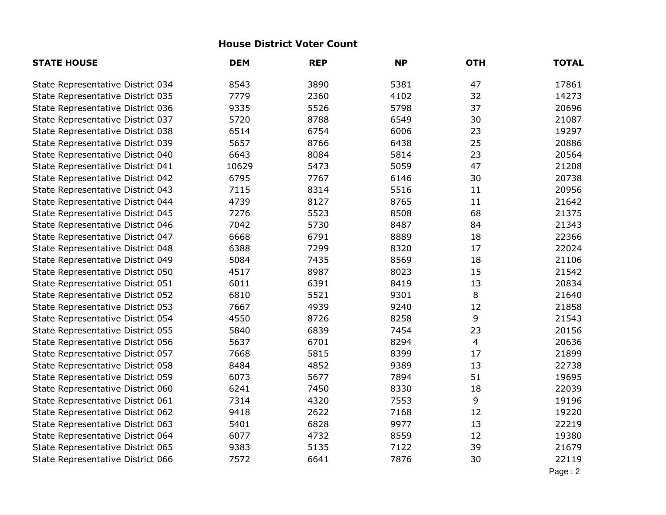## **House District Voter Count**

| <b>STATE HOUSE</b>                | <b>DEM</b> | <b>REP</b> | <b>NP</b> | <b>OTH</b>     | <b>TOTAL</b> |
|-----------------------------------|------------|------------|-----------|----------------|--------------|
| State Representative District 034 | 8543       | 3890       | 5381      | 47             | 17861        |
| State Representative District 035 | 7779       | 2360       | 4102      | 32             | 14273        |
| State Representative District 036 | 9335       | 5526       | 5798      | 37             | 20696        |
| State Representative District 037 | 5720       | 8788       | 6549      | 30             | 21087        |
| State Representative District 038 | 6514       | 6754       | 6006      | 23             | 19297        |
| State Representative District 039 | 5657       | 8766       | 6438      | 25             | 20886        |
| State Representative District 040 | 6643       | 8084       | 5814      | 23             | 20564        |
| State Representative District 041 | 10629      | 5473       | 5059      | 47             | 21208        |
| State Representative District 042 | 6795       | 7767       | 6146      | 30             | 20738        |
| State Representative District 043 | 7115       | 8314       | 5516      | 11             | 20956        |
| State Representative District 044 | 4739       | 8127       | 8765      | 11             | 21642        |
| State Representative District 045 | 7276       | 5523       | 8508      | 68             | 21375        |
| State Representative District 046 | 7042       | 5730       | 8487      | 84             | 21343        |
| State Representative District 047 | 6668       | 6791       | 8889      | 18             | 22366        |
| State Representative District 048 | 6388       | 7299       | 8320      | 17             | 22024        |
| State Representative District 049 | 5084       | 7435       | 8569      | 18             | 21106        |
| State Representative District 050 | 4517       | 8987       | 8023      | 15             | 21542        |
| State Representative District 051 | 6011       | 6391       | 8419      | 13             | 20834        |
| State Representative District 052 | 6810       | 5521       | 9301      | 8              | 21640        |
| State Representative District 053 | 7667       | 4939       | 9240      | 12             | 21858        |
| State Representative District 054 | 4550       | 8726       | 8258      | 9              | 21543        |
| State Representative District 055 | 5840       | 6839       | 7454      | 23             | 20156        |
| State Representative District 056 | 5637       | 6701       | 8294      | $\overline{4}$ | 20636        |
| State Representative District 057 | 7668       | 5815       | 8399      | 17             | 21899        |
| State Representative District 058 | 8484       | 4852       | 9389      | 13             | 22738        |
| State Representative District 059 | 6073       | 5677       | 7894      | 51             | 19695        |
| State Representative District 060 | 6241       | 7450       | 8330      | 18             | 22039        |
| State Representative District 061 | 7314       | 4320       | 7553      | 9              | 19196        |
| State Representative District 062 | 9418       | 2622       | 7168      | 12             | 19220        |
| State Representative District 063 | 5401       | 6828       | 9977      | 13             | 22219        |
| State Representative District 064 | 6077       | 4732       | 8559      | 12             | 19380        |
| State Representative District 065 | 9383       | 5135       | 7122      | 39             | 21679        |
| State Representative District 066 | 7572       | 6641       | 7876      | 30             | 22119        |
|                                   |            |            |           |                | Page: 2      |